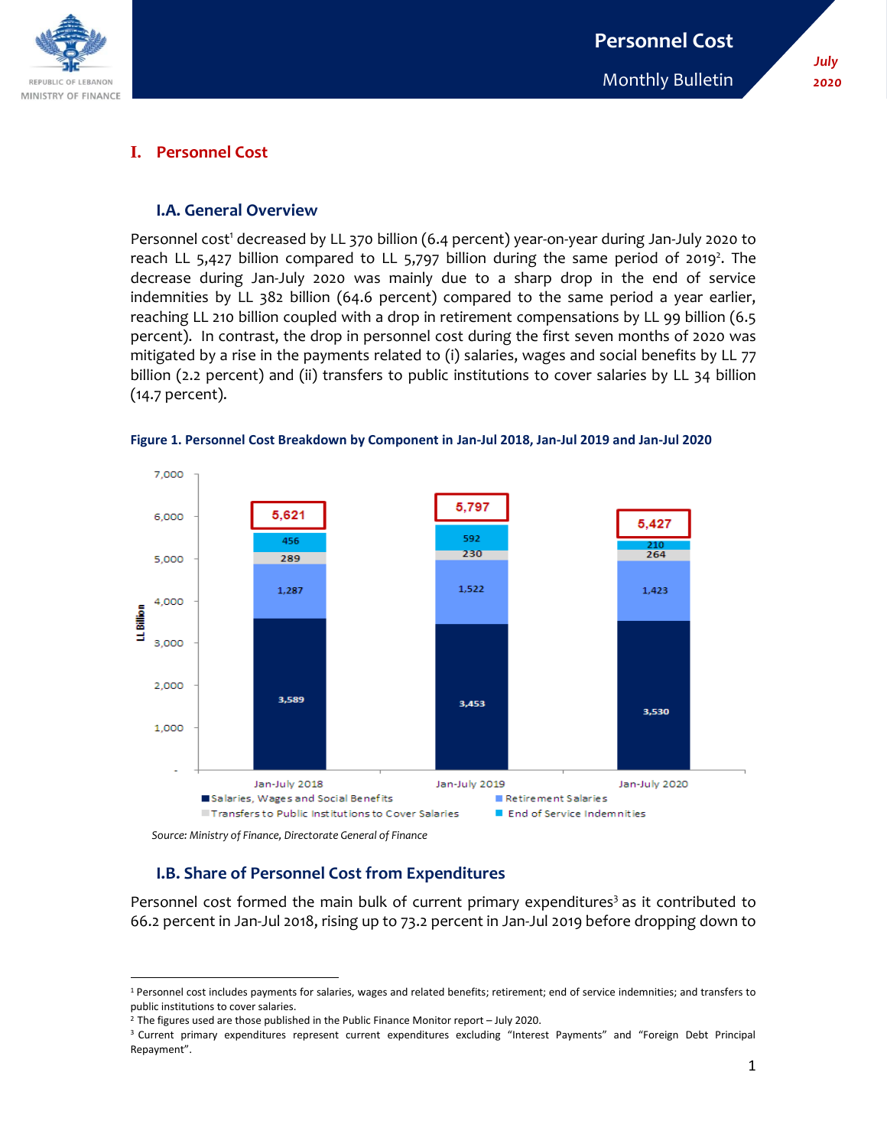

## **I. Personnel Cost**

#### **I.A. General Overview**

Personnel cost<sup>1</sup> decreased by LL 370 billion (6.4 percent) year-on-year during Jan-July 2020 to reach LL 5,427 billion compared to LL 5,797 billion during the same period of 2019<sup>2</sup>. The decrease during Jan-July 2020 was mainly due to a sharp drop in the end of service indemnities by LL 382 billion (64.6 percent) compared to the same period a year earlier, reaching LL 210 billion coupled with a drop in retirement compensations by LL 99 billion (6.5 percent). In contrast, the drop in personnel cost during the first seven months of 2020 was mitigated by a rise in the payments related to (i) salaries, wages and social benefits by LL 77 billion (2.2 percent) and (ii) transfers to public institutions to cover salaries by LL 34 billion (14.7 percent).



**Figure 1. Personnel Cost Breakdown by Component in Jan-Jul 2018, Jan-Jul 2019 and Jan-Jul 2020**

 *Source: Ministry of Finance, Directorate General of Finance*

 $\overline{\phantom{a}}$ 

# **I.B. Share of Personnel Cost from Expenditures**

Personnel cost formed the main bulk of current primary expenditures<sup>3</sup> as it contributed to 66.2 percent in Jan-Jul 2018, rising up to 73.2 percent in Jan-Jul 2019 before dropping down to

<sup>&</sup>lt;sup>1</sup> Personnel cost includes payments for salaries, wages and related benefits; retirement; end of service indemnities; and transfers to public institutions to cover salaries.

 $2$  The figures used are those published in the Public Finance Monitor report – July 2020.

<sup>3</sup> Current primary expenditures represent current expenditures excluding "Interest Payments" and "Foreign Debt Principal Repayment".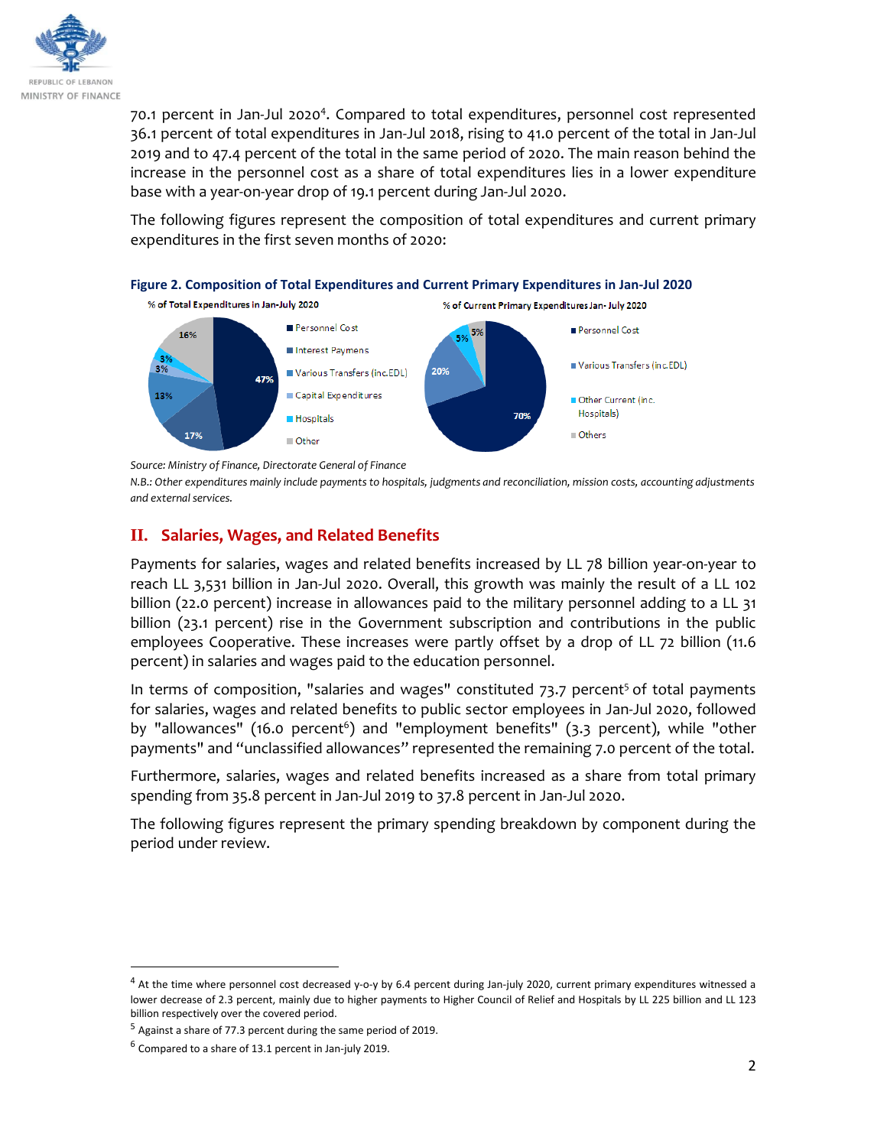

70.1 percent in Jan-Jul 2020<sup>4</sup>. Compared to total expenditures, personnel cost represented 36.1 percent of total expenditures in Jan-Jul 2018, rising to 41.0 percent of the total in Jan-Jul 2019 and to 47.4 percent of the total in the same period of 2020. The main reason behind the increase in the personnel cost as a share of total expenditures lies in a lower expenditure base with a year-on-year drop of 19.1 percent during Jan-Jul 2020.

The following figures represent the composition of total expenditures and current primary expenditures in the first seven months of 2020:





*Source: Ministry of Finance, Directorate General of Finance* 

*N.B.: Other expenditures mainly include payments to hospitals, judgments and reconciliation, mission costs, accounting adjustments and external services.* 

Others

## **II. Salaries, Wages, and Related Benefits**

Payments for salaries, wages and related benefits increased by LL 78 billion year-on-year to reach LL 3,531 billion in Jan-Jul 2020. Overall, this growth was mainly the result of a LL 102 billion (22.0 percent) increase in allowances paid to the military personnel adding to a LL 31 billion (23.1 percent) rise in the Government subscription and contributions in the public employees Cooperative. These increases were partly offset by a drop of LL 72 billion (11.6 percent) in salaries and wages paid to the education personnel.

In terms of composition, "salaries and wages" constituted 73.7 percent<sup>5</sup> of total payments for salaries, wages and related benefits to public sector employees in Jan-Jul 2020, followed by "allowances" (16.0 percent<sup>6</sup>) and "employment benefits" (3.3 percent), while "other payments" and "unclassified allowances" represented the remaining 7.0 percent of the total.

Furthermore, salaries, wages and related benefits increased as a share from total primary spending from 35.8 percent in Jan-Jul 2019 to 37.8 percent in Jan-Jul 2020.

The following figures represent the primary spending breakdown by component during the period under review.

 $\overline{a}$ 

 $4$  At the time where personnel cost decreased y-o-y by 6.4 percent during Jan-july 2020, current primary expenditures witnessed a lower decrease of 2.3 percent, mainly due to higher payments to Higher Council of Relief and Hospitals by LL 225 billion and LL 123 billion respectively over the covered period.

 $5$  Against a share of 77.3 percent during the same period of 2019.

 $^6$  Compared to a share of 13.1 percent in Jan-july 2019.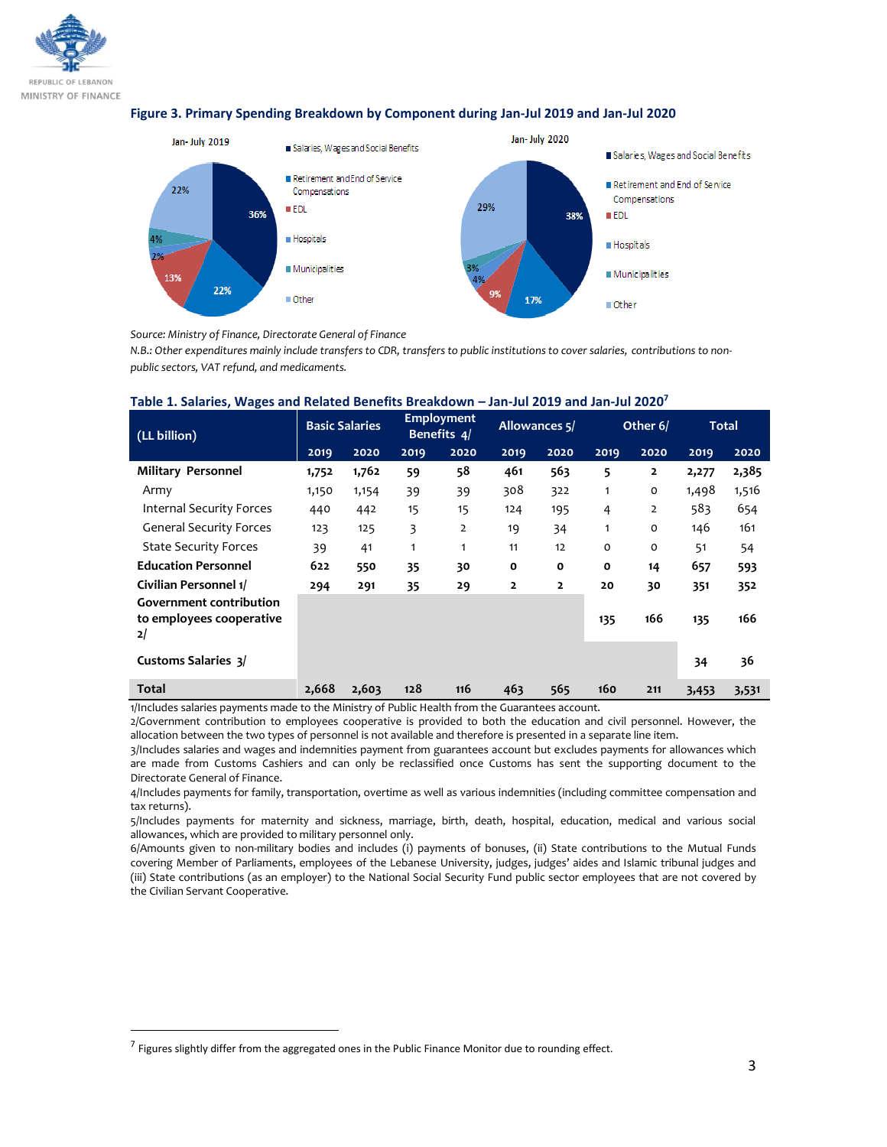

#### **Figure 3. Primary Spending Breakdown by Component during Jan-Jul 2019 and Jan-Jul 2020**



*Source: Ministry of Finance, Directorate General of Finance* 

*N.B.: Other expenditures mainly include transfers to CDR, transfers to public institutions to cover salaries, contributions to nonpublic sectors, VAT refund, and medicaments.*

| (LL billion)                                                     | <b>Basic Salaries</b> |       | <b>Employment</b><br>Benefits 4/ |                | Allowances 5/  |                | Other 6/    |                | <b>Total</b> |       |
|------------------------------------------------------------------|-----------------------|-------|----------------------------------|----------------|----------------|----------------|-------------|----------------|--------------|-------|
|                                                                  | 2019                  | 2020  | 2019                             | 2020           | 2019           | 2020           | 2019        | 2020           | 2019         | 2020  |
| <b>Military Personnel</b>                                        | 1,752                 | 1,762 | 59                               | 58             | 461            | 563            | 5           | $\overline{2}$ | 2,277        | 2,385 |
| Army                                                             | 1,150                 | 1,154 | 39                               | 39             | 308            | 322            | 1           | $\Omega$       | 1,498        | 1,516 |
| <b>Internal Security Forces</b>                                  | 440                   | 442   | 15                               | 15             | 124            | 195            | 4           | 2              | 583          | 654   |
| <b>General Security Forces</b>                                   | 123                   | 125   | 3                                | $\overline{2}$ | 19             | 34             | 1           | $\mathbf 0$    | 146          | 161   |
| <b>State Security Forces</b>                                     | 39                    | 41    | 1                                | 1              | 11             | 12             | $\circ$     | $\mathbf 0$    | 51           | 54    |
| <b>Education Personnel</b>                                       | 622                   | 550   | 35                               | 30             | $\mathbf{o}$   | $\mathbf{o}$   | $\mathbf 0$ | 14             | 657          | 593   |
| Civilian Personnel 1/                                            | 294                   | 291   | 35                               | 29             | $\overline{2}$ | $\overline{2}$ | 20          | 30             | 351          | 352   |
| <b>Government contribution</b><br>to employees cooperative<br>2/ |                       |       |                                  |                |                |                | 135         | 166            | 135          | 166   |
| <b>Customs Salaries 3/</b>                                       |                       |       |                                  |                |                |                |             |                | 34           | 36    |
| Total                                                            | 2,668                 | 2,603 | 128                              | 116            | 463            | 565            | 160         | 211            | 3,453        | 3,531 |

#### **Table 1. Salaries, Wages and Related Benefits Breakdown – Jan-Jul 2019 and Jan-Jul 2020<sup>7</sup>**

1/Includes salaries payments made to the Ministry of Public Health from the Guarantees account.

2/Government contribution to employees cooperative is provided to both the education and civil personnel. However, the allocation between the two types of personnel is not available and therefore is presented in a separate line item.

3/Includes salaries and wages and indemnities payment from guarantees account but excludes payments for allowances which are made from Customs Cashiers and can only be reclassified once Customs has sent the supporting document to the Directorate General of Finance.

4/Includes payments for family, transportation, overtime as well as various indemnities (including committee compensation and tax returns).

5/Includes payments for maternity and sickness, marriage, birth, death, hospital, education, medical and various social allowances, which are provided to military personnel only.

6/Amounts given to non-military bodies and includes (i) payments of bonuses, (ii) State contributions to the Mutual Funds covering Member of Parliaments, employees of the Lebanese University, judges, judges' aides and Islamic tribunal judges and (iii) State contributions (as an employer) to the National Social Security Fund public sector employees that are not covered by the Civilian Servant Cooperative.

l

<sup>&</sup>lt;sup>7</sup> Figures slightly differ from the aggregated ones in the Public Finance Monitor due to rounding effect.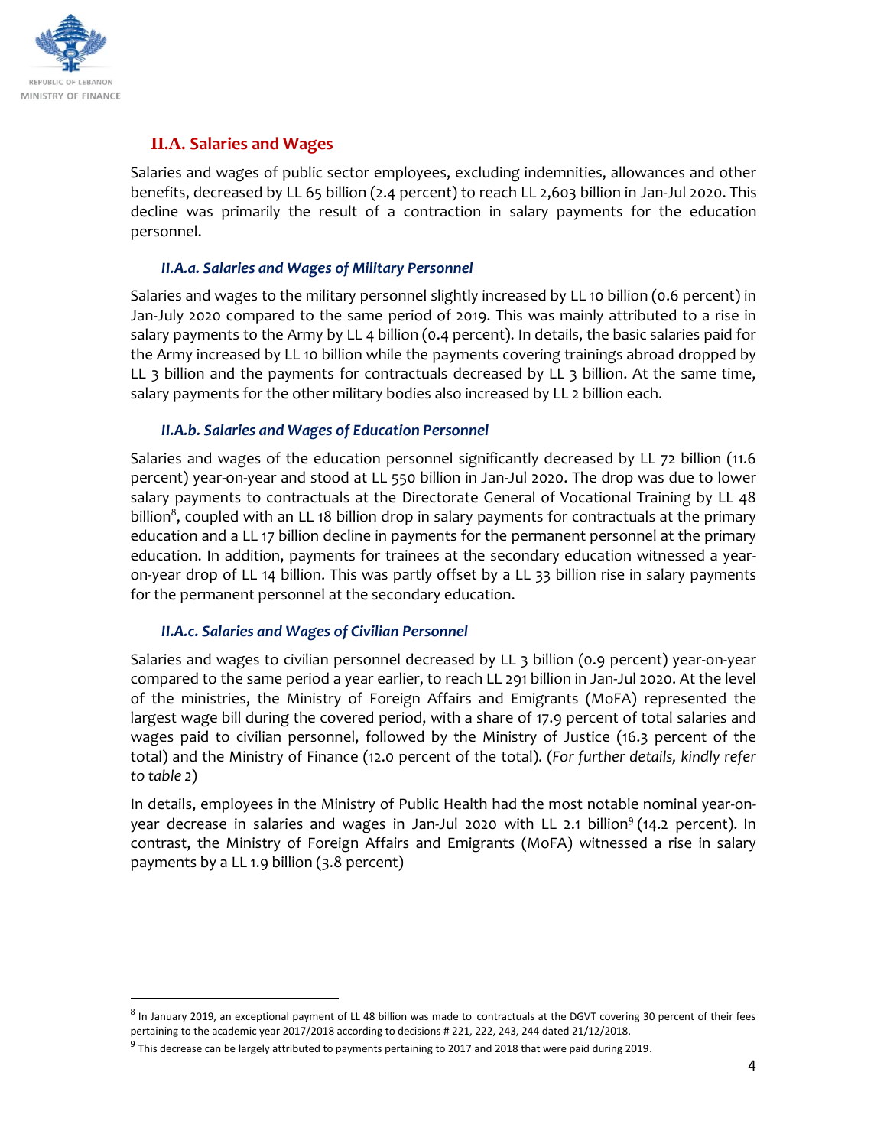

 $\overline{\phantom{a}}$ 

# **II.A. Salaries and Wages**

Salaries and wages of public sector employees, excluding indemnities, allowances and other benefits, decreased by LL 65 billion (2.4 percent) to reach LL 2,603 billion in Jan-Jul 2020. This decline was primarily the result of a contraction in salary payments for the education personnel.

#### *II.A.a. Salaries and Wages of Military Personnel*

Salaries and wages to the military personnel slightly increased by LL 10 billion (0.6 percent) in Jan-July 2020 compared to the same period of 2019. This was mainly attributed to a rise in salary payments to the Army by LL 4 billion (0.4 percent). In details, the basic salaries paid for the Army increased by LL 10 billion while the payments covering trainings abroad dropped by LL 3 billion and the payments for contractuals decreased by LL 3 billion. At the same time, salary payments for the other military bodies also increased by LL 2 billion each.

## *II.A.b. Salaries and Wages of Education Personnel*

Salaries and wages of the education personnel significantly decreased by LL 72 billion (11.6 percent) year-on-year and stood at LL 550 billion in Jan-Jul 2020. The drop was due to lower salary payments to contractuals at the Directorate General of Vocational Training by LL 48 billion $^8$ , coupled with an LL 18 billion drop in salary payments for contractuals at the primary education and a LL 17 billion decline in payments for the permanent personnel at the primary education. In addition, payments for trainees at the secondary education witnessed a yearon-year drop of LL 14 billion. This was partly offset by a LL 33 billion rise in salary payments for the permanent personnel at the secondary education.

#### *II.A.c. Salaries and Wages of Civilian Personnel*

Salaries and wages to civilian personnel decreased by LL 3 billion (0.9 percent) year-on-year compared to the same period a year earlier, to reach LL 291 billion in Jan-Jul 2020. At the level of the ministries, the Ministry of Foreign Affairs and Emigrants (MoFA) represented the largest wage bill during the covered period, with a share of 17.9 percent of total salaries and wages paid to civilian personnel, followed by the Ministry of Justice (16.3 percent of the total) and the Ministry of Finance (12.0 percent of the total). (*For further details, kindly refer to table 2*)

In details, employees in the Ministry of Public Health had the most notable nominal year-onyear decrease in salaries and wages in Jan-Jul 2020 with LL 2.1 billion<sup>9</sup> (14.2 percent). In contrast, the Ministry of Foreign Affairs and Emigrants (MoFA) witnessed a rise in salary payments by a LL 1.9 billion (3.8 percent)

<sup>&</sup>lt;sup>8</sup> In January 2019, an exceptional payment of LL 48 billion was made to contractuals at the DGVT covering 30 percent of their fees pertaining to the academic year 2017/2018 according to decisions # 221, 222, 243, 244 dated 21/12/2018.

<sup>&</sup>lt;sup>9</sup> This decrease can be largely attributed to payments pertaining to 2017 and 2018 that were paid during 2019.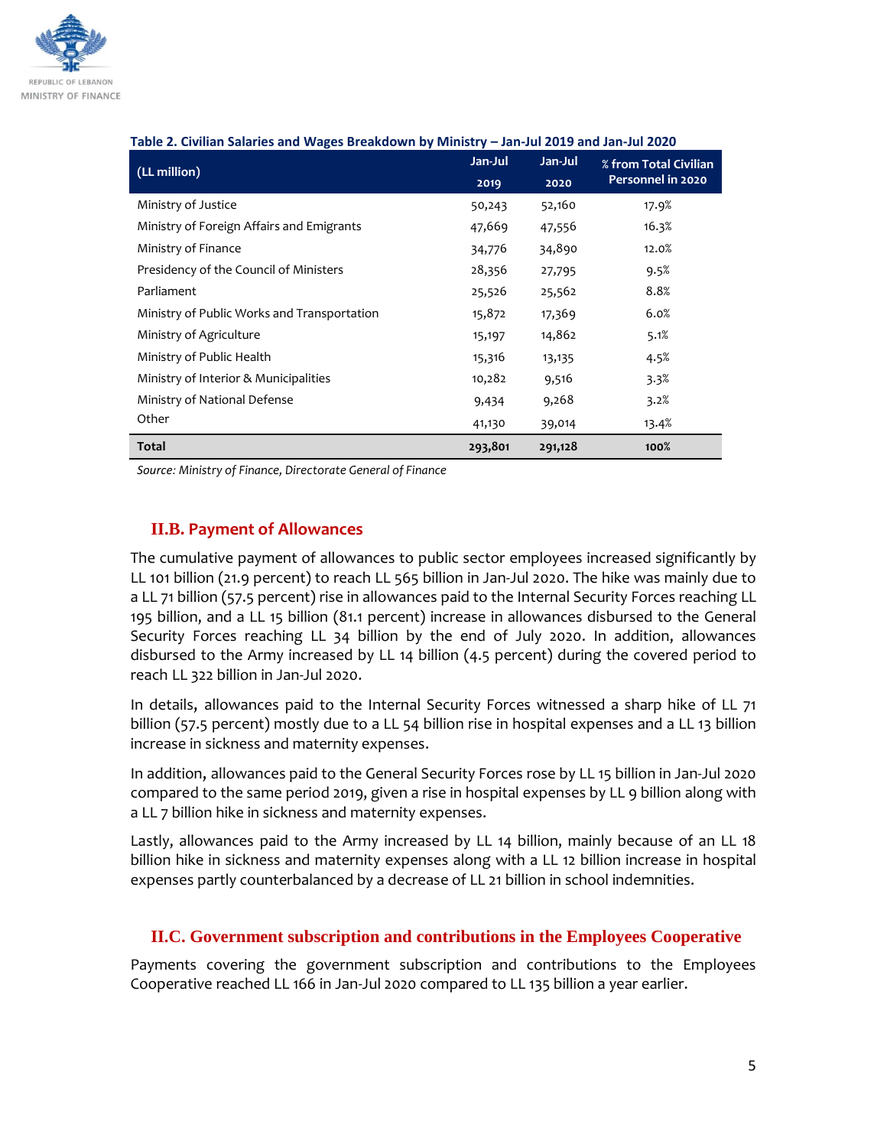

| Table 2. Civilian Salaries and Wages Dieakuown by Ministry – Jan-Jul 2015 and Jan-Jul 2020 |         |         |                       |  |  |  |  |  |
|--------------------------------------------------------------------------------------------|---------|---------|-----------------------|--|--|--|--|--|
| (LL million)                                                                               | Jan-Jul | Jan-Jul | % from Total Civilian |  |  |  |  |  |
|                                                                                            | 2019    | 2020    | Personnel in 2020     |  |  |  |  |  |
| Ministry of Justice                                                                        | 50,243  | 52,160  | 17.9%                 |  |  |  |  |  |
| Ministry of Foreign Affairs and Emigrants                                                  | 47,669  | 47,556  | 16.3%                 |  |  |  |  |  |
| Ministry of Finance                                                                        | 34,776  | 34,890  | 12.0%                 |  |  |  |  |  |
| Presidency of the Council of Ministers                                                     | 28,356  | 27,795  | 9.5%                  |  |  |  |  |  |
| Parliament                                                                                 | 25,526  | 25,562  | 8.8%                  |  |  |  |  |  |
| Ministry of Public Works and Transportation                                                | 15,872  | 17,369  | 6.0%                  |  |  |  |  |  |
| Ministry of Agriculture                                                                    | 15,197  | 14,862  | 5.1%                  |  |  |  |  |  |
| Ministry of Public Health                                                                  | 15,316  | 13,135  | 4.5%                  |  |  |  |  |  |
| Ministry of Interior & Municipalities                                                      | 10,282  | 9,516   | 3.3%                  |  |  |  |  |  |
| Ministry of National Defense                                                               | 9,434   | 9,268   | 3.2%                  |  |  |  |  |  |
| Other                                                                                      | 41,130  | 39,014  | 13.4%                 |  |  |  |  |  |
| <b>Total</b>                                                                               | 293,801 | 291,128 | 100%                  |  |  |  |  |  |

#### **Table 2. Civilian Salaries and Wages Breakdown by Ministry – Jan-Jul 2019 and Jan-Jul 2020**

*Source: Ministry of Finance, Directorate General of Finance* 

## **II.B. Payment of Allowances**

The cumulative payment of allowances to public sector employees increased significantly by LL 101 billion (21.9 percent) to reach LL 565 billion in Jan-Jul 2020. The hike was mainly due to a LL 71 billion (57.5 percent) rise in allowances paid to the Internal Security Forces reaching LL 195 billion, and a LL 15 billion (81.1 percent) increase in allowances disbursed to the General Security Forces reaching LL 34 billion by the end of July 2020. In addition, allowances disbursed to the Army increased by LL 14 billion (4.5 percent) during the covered period to reach LL 322 billion in Jan-Jul 2020.

In details, allowances paid to the Internal Security Forces witnessed a sharp hike of LL 71 billion (57.5 percent) mostly due to a LL 54 billion rise in hospital expenses and a LL 13 billion increase in sickness and maternity expenses.

In addition, allowances paid to the General Security Forces rose by LL 15 billion in Jan-Jul 2020 compared to the same period 2019, given a rise in hospital expenses by LL 9 billion along with a LL 7 billion hike in sickness and maternity expenses.

Lastly, allowances paid to the Army increased by LL 14 billion, mainly because of an LL 18 billion hike in sickness and maternity expenses along with a LL 12 billion increase in hospital expenses partly counterbalanced by a decrease of LL 21 billion in school indemnities.

## **II.C. Government subscription and contributions in the Employees Cooperative**

Payments covering the government subscription and contributions to the Employees Cooperative reached LL 166 in Jan-Jul 2020 compared to LL 135 billion a year earlier.